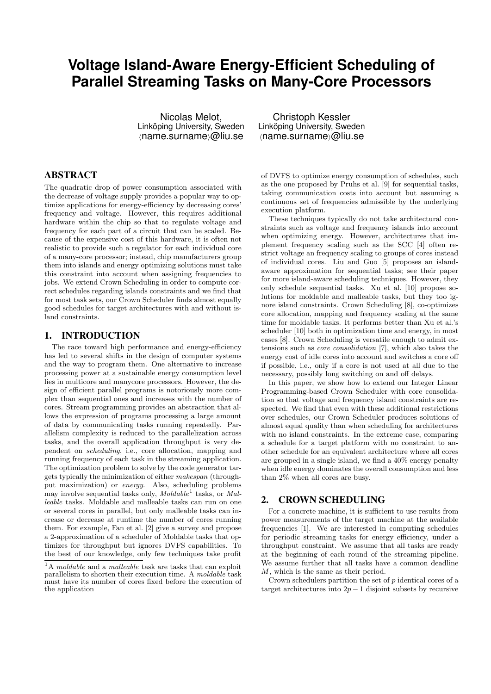# **Voltage Island-Aware Energy-Efficient Scheduling of Parallel Streaming Tasks on Many-Core Processors**

Nicolas Melot, Linköping University, Sweden  $\langle$ name.surname $\rangle$ @liu.se

### ABSTRACT

The quadratic drop of power consumption associated with the decrease of voltage supply provides a popular way to optimize applications for energy-efficiency by decreasing cores' frequency and voltage. However, this requires additional hardware within the chip so that to regulate voltage and frequency for each part of a circuit that can be scaled. Because of the expensive cost of this hardware, it is often not realistic to provide such a regulator for each individual core of a many-core processor; instead, chip manufacturers group them into islands and energy optimizing solutions must take this constraint into account when assigning frequencies to jobs. We extend Crown Scheduling in order to compute correct schedules regarding islands constraints and we find that for most task sets, our Crown Scheduler finds almost equally good schedules for target architectures with and without island constraints.

#### 1. INTRODUCTION

The race toward high performance and energy-efficiency has led to several shifts in the design of computer systems and the way to program them. One alternative to increase processing power at a sustainable energy consumption level lies in multicore and manycore processors. However, the design of efficient parallel programs is notoriously more complex than sequential ones and increases with the number of cores. Stream programming provides an abstraction that allows the expression of programs processing a large amount of data by communicating tasks running repeatedly. Parallelism complexity is reduced to the parallelization across tasks, and the overall application throughput is very dependent on scheduling, i.e., core allocation, mapping and running frequency of each task in the streaming application. The optimization problem to solve by the code generator targets typically the minimization of either makespan (throughput maximization) or energy. Also, scheduling problems may involve sequential tasks only,  $\textit{Moldable}$ <sup>1</sup> tasks, or Malleable tasks. Moldable and malleable tasks can run on one or several cores in parallel, but only malleable tasks can increase or decrease at runtime the number of cores running them. For example, Fan et al. [2] give a survey and propose a 2-approximation of a scheduler of Moldable tasks that optimizes for throughput but ignores DVFS capabilities. To the best of our knowledge, only few techniques take profit

Christoph Kessler Linköping University, Sweden  $\langle$ name.surname $\rangle$ @liu.se

of DVFS to optimize energy consumption of schedules, such as the one proposed by Pruhs et al. [9] for sequential tasks, taking communication costs into account but assuming a continuous set of frequencies admissible by the underlying execution platform.

These techniques typically do not take architectural constraints such as voltage and frequency islands into account when optimizing energy. However, architectures that implement frequency scaling such as the SCC [4] often restrict voltage an frequency scaling to groups of cores instead of individual cores. Liu and Guo [5] proposes an islandaware approximation for sequential tasks; see their paper for more island-aware scheduling techniques. However, they only schedule sequential tasks. Xu et al. [10] propose solutions for moldable and malleable tasks, but they too ignore island constraints. Crown Scheduling [8], co-optimizes core allocation, mapping and frequency scaling at the same time for moldable tasks. It performs better than Xu et al.'s scheduler [10] both in optimization time and energy, in most cases [8]. Crown Scheduling is versatile enough to admit extensions such as core consolidation [7], which also takes the energy cost of idle cores into account and switches a core off if possible, i.e., only if a core is not used at all due to the necessary, possibly long switching on and off delays.

In this paper, we show how to extend our Integer Linear Programming-based Crown Scheduler with core consolidation so that voltage and frequency island constraints are respected. We find that even with these additional restrictions over schedules, our Crown Scheduler produces solutions of almost equal quality than when scheduling for architectures with no island constraints. In the extreme case, comparing a schedule for a target platform with no constraint to another schedule for an equivalent architecture where all cores are grouped in a single island, we find a 40% energy penalty when idle energy dominates the overall consumption and less than 2% when all cores are busy.

## 2. CROWN SCHEDULING

For a concrete machine, it is sufficient to use results from power measurements of the target machine at the available frequencies [1]. We are interested in computing schedules for periodic streaming tasks for energy efficiency, under a throughput constraint. We assume that all tasks are ready at the beginning of each round of the streaming pipeline. We assume further that all tasks have a common deadline M, which is the same as their period.

Crown schedulers partition the set of p identical cores of a target architectures into  $2p - 1$  disjoint subsets by recursive

 $1A$  moldable and a malleable task are tasks that can exploit parallelism to shorten their execution time. A moldable task must have its number of cores fixed before the execution of the application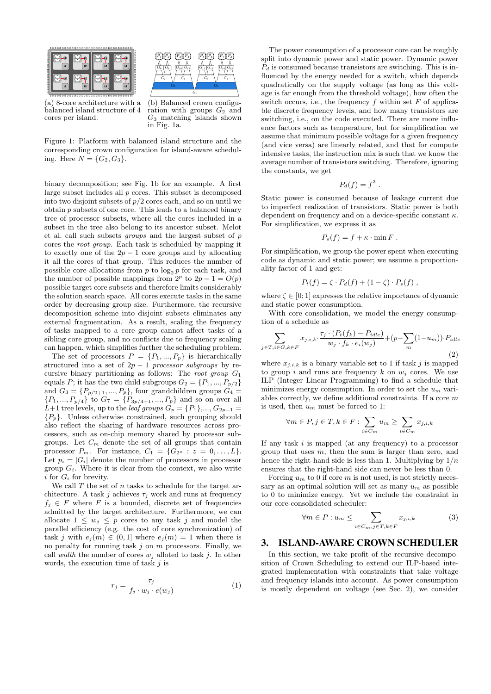



(a) 8-core architecture with a balanced island structure of 4 cores per island.

(b) Balanced crown configuration with groups  $G_2$  and  $G_3$  matching islands shown in Fig. 1a.

Figure 1: Platform with balanced island structure and the corresponding crown configuration for island-aware scheduling. Here  $N = \{G_2, G_3\}$ .

binary decomposition; see Fig. 1b for an example. A first large subset includes all  $p$  cores. This subset is decomposed into two disjoint subsets of  $p/2$  cores each, and so on until we obtain p subsets of one core. This leads to a balanced binary tree of processor subsets, where all the cores included in a subset in the tree also belong to its ancestor subset. Melot et al. call such subsets groups and the largest subset of p cores the root group. Each task is scheduled by mapping it to exactly one of the  $2p - 1$  core groups and by allocating it all the cores of that group. This reduces the number of possible core allocations from  $p$  to  $\log_2 p$  for each task, and the number of possible mappings from  $2^p$  to  $2p - 1 = O(p)$ possible target core subsets and therefore limits considerably the solution search space. All cores execute tasks in the same order by decreasing group size. Furthermore, the recursive decomposition scheme into disjoint subsets eliminates any external fragmentation. As a result, scaling the frequency of tasks mapped to a core group cannot affect tasks of a sibling core group, and no conflicts due to frequency scaling can happen, which simplifies further the scheduling problem.

The set of processors  $P = \{P_1, ..., P_p\}$  is hierarchically structured into a set of  $2p - 1$  processor subgroups by recursive binary partitioning as follows: The root group  $G_1$ equals P; it has the two child subgroups  $G_2 = \{P_1, ..., P_{p/2}\}$ and  $G_3 = \{P_{p/2+1}, ..., P_p\}$ , four grandchildren groups  $G_4$  $\{P_1, ..., P_{p/4}\}\$ to  $G_7 = \{P_{3p/4+1}, ..., P_p\}\$ and so on over all L+1 tree levels, up to the *leaf groups*  $G_p = \{P_1\},..., G_{2p-1}$  ${P_p}$ . Unless otherwise constrained, such grouping should also reflect the sharing of hardware resources across processors, such as on-chip memory shared by processor subgroups. Let  $C_m$  denote the set of all groups that contain processor  $P_m$ . For instance,  $C_1 = \{G_{2^z} : z = 0, \ldots, L\}.$ Let  $p_i = |G_i|$  denote the number of processors in processor group  $G_i$ . Where it is clear from the context, we also write i for  $G_i$  for brevity.

We call  $T$  the set of  $n$  tasks to schedule for the target architecture. A task j achieves  $\tau_i$  work and runs at frequency  $f_i \in F$  where F is a bounded, discrete set of frequencies admitted by the target architecture. Furthermore, we can allocate  $1 \leq w_j \leq p$  cores to any task j and model the parallel efficiency (e.g. the cost of core synchronization) of task j with  $e_j(m) \in (0,1]$  where  $e_j(m) = 1$  when there is no penalty for running task  $j$  on  $m$  processors. Finally, we call width the number of cores  $w_i$  alloted to task j. In other words, the execution time of task  $j$  is

$$
r_j = \frac{\tau_j}{f_j \cdot w_j \cdot e(w_j)}\tag{1}
$$

The power consumption of a processor core can be roughly split into dynamic power and static power. Dynamic power  $P_d$  is consumed because transistors are switching. This is influenced by the energy needed for a switch, which depends quadratically on the supply voltage (as long as this voltage is far enough from the threshold voltage), how often the switch occurs, i.e., the frequency  $f$  within set  $F$  of applicable discrete frequency levels, and how many transistors are switching, i.e., on the code executed. There are more influence factors such as temperature, but for simplification we assume that minimum possible voltage for a given frequency (and vice versa) are linearly related, and that for compute intensive tasks, the instruction mix is such that we know the average number of transistors switching. Therefore, ignoring the constants, we get

$$
P_d(f) = f^3.
$$

Static power is consumed because of leakage current due to imperfect realization of transistors. Static power is both dependent on frequency and on a device-specific constant  $\kappa$ . For simplification, we express it as

$$
P_s(f) = f + \kappa \cdot \min F.
$$

For simplification, we group the power spent when executing code as dynamic and static power; we assume a proportionality factor of 1 and get:

$$
P_t(f) = \zeta \cdot P_d(f) + (1 - \zeta) \cdot P_s(f) ,
$$

where  $\zeta \in [0; 1]$  expresses the relative importance of dynamic and static power consumption.

With core consolidation, we model the energy consumption of a schedule as

$$
\sum_{j \in T, i \in G, k \in F} x_{j,i,k} \cdot \frac{\tau_j \cdot (P_t(f_k) - P_{idle})}{w_j \cdot f_k \cdot e_i(w_j)} + (p - \sum_m (1 - u_m)) \cdot P_{idle} \tag{2}
$$

where  $x_{i,i,k}$  is a binary variable set to 1 if task j is mapped to group i and runs are frequency k on  $w_i$  cores. We use ILP (Integer Linear Programming) to find a schedule that minimizes energy consumption. In order to set the  $u_m$  variables correctly, we define additional constraints. If a core m is used, then  $u_m$  must be forced to 1:

$$
\forall m \in P, j \in T, k \in F: \sum_{i \in C_m} u_m \ge \sum_{i \in C_m} x_{j,i,k}
$$

If any task  $i$  is mapped (at any frequency) to a processor group that uses  $m$ , then the sum is larger than zero, and hence the right-hand side is less than 1. Multiplying by  $1/n$ ensures that the right-hand side can never be less than 0.

Forcing  $u_m$  to 0 if core m is not used, is not strictly necessary as an optimal solution will set as many  $u_m$  as possible to 0 to minimize energy. Yet we include the constraint in our core-consolidated scheduler:

$$
\forall m \in P: u_m \leq \sum_{i \in C_m, j \in T, k \in F} x_{j,i,k} \tag{3}
$$

### 3. ISLAND-AWARE CROWN SCHEDULER

In this section, we take profit of the recursive decomposition of Crown Scheduling to extend our ILP-based integrated implementation with constraints that take voltage and frequency islands into account. As power consumption is mostly dependent on voltage (see Sec. 2), we consider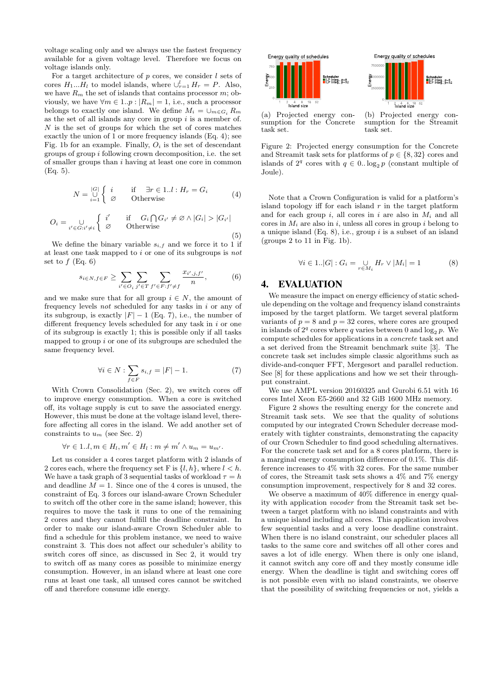voltage scaling only and we always use the fastest frequency available for a given voltage level. Therefore we focus on voltage islands only.

For a target architecture of  $p$  cores, we consider  $l$  sets of cores  $H_1...H_l$  to model islands, where  $\bigcup_{r=1}^l H_r = P$ . Also, we have  $R_m$  the set of islands that contains processor  $m$ ; obviously, we have  $\forall m \in 1..p : |R_m| = 1$ , i.e., such a processor belongs to exactly one island. We define  $M_i = \bigcup_{m \in G_i} R_m$ as the set of all islands any core in group  $i$  is a member of.  $N$  is the set of groups for which the set of cores matches exactly the union of 1 or more frequency islands (Eq. 4); see Fig. 1b for an example. Finally,  $O_i$  is the set of descendant groups of group i following crown decomposition, i.e. the set of smaller groups than i having at least one core in common (Eq. 5).

$$
N = \bigcup_{i=1}^{|G|} \begin{cases} i & \text{if } \exists r \in 1..l : H_r = G_i \\ \varnothing & \text{Otherwise} \end{cases} \tag{4}
$$

$$
O_i = \bigcup_{i' \in G:i' \neq i} \left\{ \begin{array}{ll} i' & \text{if } G_i \bigcap G_{i'} \neq \varnothing \land |G_i| > |G_{i'}| \\ \varnothing & \text{Otherwise} \end{array} \right.\tag{5}
$$

We define the binary variable  $s_{i,f}$  and we force it to 1 if at least one task mapped to  $i$  or one of its subgroups is not set to  $f$  (Eq. 6)

$$
s_{i \in N, f \in F} \ge \sum_{i' \in O_i} \sum_{j' \in T} \sum_{f' \in F: f' \ne f} \frac{x_{i', j, f'}}{n}, \tag{6}
$$

and we make sure that for all group  $i \in N$ , the amount of frequency levels not scheduled for any tasks in i or any of its subgroup, is exactly  $|F| - 1$  (Eq. 7), i.e., the number of different frequency levels scheduled for any task in  $i$  or one of its subgroup is exactly 1; this is possible only if all tasks mapped to group  $i$  or one of its subgroups are scheduled the same frequency level.

$$
\forall i \in N : \sum_{f \in F} s_{i,f} = |F| - 1.
$$
 (7)

With Crown Consolidation (Sec. 2), we switch cores off to improve energy consumption. When a core is switched off, its voltage supply is cut to save the associated energy. However, this must be done at the voltage island level, therefore affecting all cores in the island. We add another set of constraints to  $u_m$  (see Sec. 2)

$$
\forall r \in 1..l, m \in H_l, m' \in H_l : m \neq m' \land u_m = u_{m'}.
$$

Let us consider a 4 cores target platform with 2 islands of 2 cores each, where the frequency set F is  $\{l, h\}$ , where  $l < h$ . We have a task graph of 3 sequential tasks of workload  $\tau = h$ and deadline  $M = 1$ . Since one of the 4 cores is unused, the constraint of Eq. 3 forces our island-aware Crown Scheduler to switch off the other core in the same island; however, this requires to move the task it runs to one of the remaining 2 cores and they cannot fulfill the deadline constraint. In order to make our island-aware Crown Scheduler able to find a schedule for this problem instance, we need to waive constraint 3. This does not affect our scheduler's ability to switch cores off since, as discussed in Sec 2, it would try to switch off as many cores as possible to minimize energy consumption. However, in an island where at least one core runs at least one task, all unused cores cannot be switched off and therefore consume idle energy.



(a) Projected energy consumption for the Concrete task set.

(b) Projected energy consumption for the Streamit task set.

Figure 2: Projected energy consumption for the Concrete and Streamit task sets for platforms of  $p \in \{8, 32\}$  cores and islands of  $2^q$  cores with  $q \in 0$ .  $\log_2 p$  (constant multiple of Joule).

Note that a Crown Configuration is valid for a platform's island topology iff for each island  $r$  in the target platform and for each group i, all cores in i are also in  $M_i$  and all cores in  $M_i$  are also in i, unless all cores in group i belong to a unique island  $(Eq. 8)$ , i.e., group i is a subset of an island (groups 2 to 11 in Fig. 1b).

$$
\forall i \in 1..|G|: G_i = \bigcup_{r \in M_i} H_r \vee |M_i| = 1 \tag{8}
$$

## 4. EVALUATION

We measure the impact on energy efficiency of static schedule depending on the voltage and frequency island constraints imposed by the target platform. We target several platform variants of  $p = 8$  and  $p = 32$  cores, where cores are grouped in islands of  $2^q$  cores where q varies between 0 and  $\log_2 p$ . We compute schedules for applications in a concrete task set and a set derived from the Streamit benchmark suite [3]. The concrete task set includes simple classic algorithms such as divide-and-conquer FFT, Mergesort and parallel reduction. See [8] for these applications and how we set their throughput constraint.

We use AMPL version 20160325 and Gurobi 6.51 with 16 cores Intel Xeon E5-2660 and 32 GiB 1600 MHz memory.

Figure 2 shows the resulting energy for the concrete and Streamit task sets. We see that the quality of solutions computed by our integrated Crown Scheduler decrease moderately with tighter constraints, demonstrating the capacity of our Crown Scheduler to find good scheduling alternatives. For the concrete task set and for a 8 cores platform, there is a marginal energy consumption difference of 0.1%. This difference increases to 4% with 32 cores. For the same number of cores, the Streamit task sets shows a 4% and 7% energy consumption improvement, respectively for 8 and 32 cores.

We observe a maximum of 40% difference in energy quality with application vocoder from the Streamit task set between a target platform with no island constraints and with a unique island including all cores. This application involves few sequential tasks and a very loose deadline constraint. When there is no island constraint, our scheduler places all tasks to the same core and switches off all other cores and saves a lot of idle energy. When there is only one island, it cannot switch any core off and they mostly consume idle energy. When the deadline is tight and switching cores off is not possible even with no island constraints, we observe that the possibility of switching frequencies or not, yields a